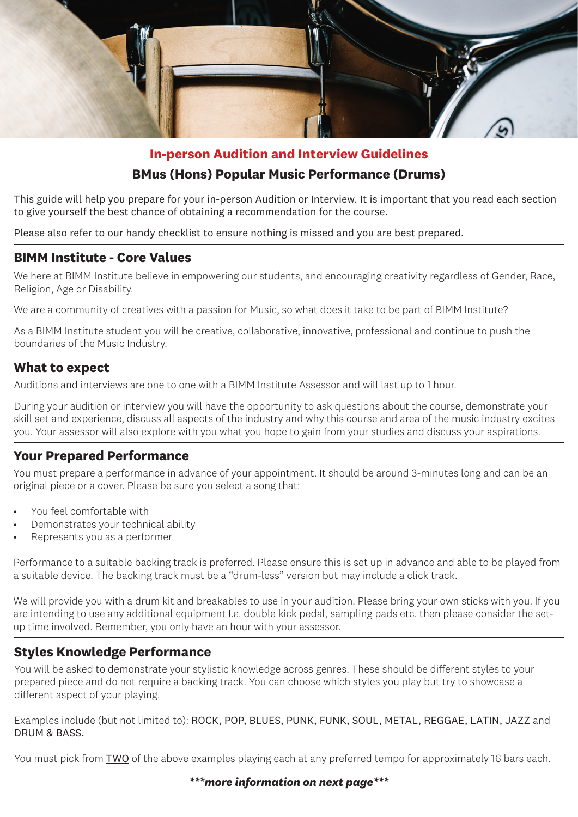

#### **In-person Audition and Interview Guidelines**

## **BMus (Hons) Popular Music Performance (Drums)**

This guide will help you prepare for your in-person Audition or Interview. It is important that you read each section to give yourself the best chance of obtaining a recommendation for the course.

Please also refer to our handy checklist to ensure nothing is missed and you are best prepared.

#### **BIMM Institute - Core Values**

We here at BIMM Institute believe in empowering our students, and encouraging creativity regardless of Gender, Race, Religion, Age or Disability.

We are a community of creatives with a passion for Music, so what does it take to be part of BIMM Institute?

As a BIMM Institute student you will be creative, collaborative, innovative, professional and continue to push the boundaries of the Music Industry.

#### **What to expect**

Auditions and interviews are one to one with a BIMM Institute Assessor and will last up to 1 hour.

During your audition or interview you will have the opportunity to ask questions about the course, demonstrate your skill set and experience, discuss all aspects of the industry and why this course and area of the music industry excites you. Your assessor will also explore with you what you hope to gain from your studies and discuss your aspirations.

#### **Your Prepared Performance**

You must prepare a performance in advance of your appointment. It should be around 3-minutes long and can be an original piece or a cover. Please be sure you select a song that:

- You feel comfortable with
- Demonstrates your technical ability
- Represents you as a performer

Performance to a suitable backing track is preferred. Please ensure this is set up in advance and able to be played from a suitable device. The backing track must be a "drum-less" version but may include a click track.

We will provide you with a drum kit and breakables to use in your audition. Please bring your own sticks with you. If you are intending to use any additional equipment I.e. double kick pedal, sampling pads etc. then please consider the setup time involved. Remember, you only have an hour with your assessor.

## **Styles Knowledge Performance**

You will be asked to demonstrate your stylistic knowledge across genres. These should be different styles to your prepared piece and do not require a backing track. You can choose which styles you play but try to showcase a different aspect of your playing.

Examples include (but not limited to): ROCK, POP, BLUES, PUNK, FUNK, SOUL, METAL, REGGAE, LATIN, JAZZ and DRUM & BASS.

You must pick from TWO of the above examples playing each at any preferred tempo for approximately 16 bars each.

*\*\*\*more information on next page\*\*\**